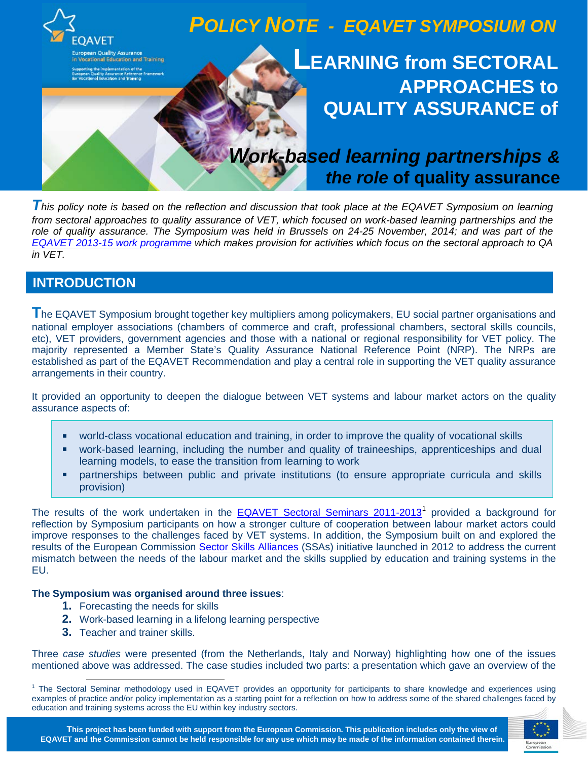

**T***his policy note is based on the reflection and discussion that took place at the EQAVET Symposium on learning from sectoral approaches to quality assurance of VET, which focused on work-based learning partnerships and the role of quality assurance. The Symposium was held in Brussels on 24-25 November, 2014; and was part of the [EQAVET 2013-15 work programme](http://www.eqavet.eu/gns/library/promotional-materials.aspx) which makes provision for activities which focus on the sectoral approach to QA in VET.*

# **INTRODUCTION**

**T**he EQAVET Symposium brought together key multipliers among policymakers, EU social partner organisations and national employer associations (chambers of commerce and craft, professional chambers, sectoral skills councils, etc), VET providers, government agencies and those with a national or regional responsibility for VET policy. The majority represented a Member State's Quality Assurance National Reference Point (NRP). The NRPs are established as part of the EQAVET Recommendation and play a central role in supporting the VET quality assurance arrangements in their country.

It provided an opportunity to deepen the dialogue between VET systems and labour market actors on the quality assurance aspects of:

- world-class vocational education and training, in order to improve the quality of vocational skills
- work-based learning, including the number and quality of traineeships, apprenticeships and dual learning models, to ease the transition from learning to work
- partnerships between public and private institutions (to ensure appropriate curricula and skills provision)

The results of the work undertaken in the **[EQAVET Sectoral Seminars 2011-2013](http://www.eqavet.eu/gns/what-we-do/sectoral-seminars.aspx)**<sup>[1](#page-0-0)</sup> provided a background for reflection by Symposium participants on how a stronger culture of cooperation between labour market actors could improve responses to the challenges faced by VET systems. In addition, the Symposium built on and explored the results of the European Commission [Sector Skills Alliances](http://ec.europa.eu/education/policy/vocational-policy/sector-skills_en.htm) (SSAs) initiative launched in 2012 to address the current mismatch between the needs of the labour market and the skills supplied by education and training systems in the EU.

## **The Symposium was organised around three issues**:

- **1.** Forecasting the needs for skills
- **2.** Work-based learning in a lifelong learning perspective
- **3.** Teacher and trainer skills.

Three *case studies* were presented (from the Netherlands, Italy and Norway) highlighting how one of the issues mentioned above was addressed. The case studies included two parts: a presentation which gave an overview of the

<span id="page-0-0"></span><sup>&</sup>lt;sup>1</sup> The Sectoral Seminar methodology used in EQAVET provides an opportunity for participants to share knowledge and experiences using examples of practice and/or policy implementation as a starting point for a reflection on how to address some of the shared challenges faced by education and training systems across the EU within key industry sectors.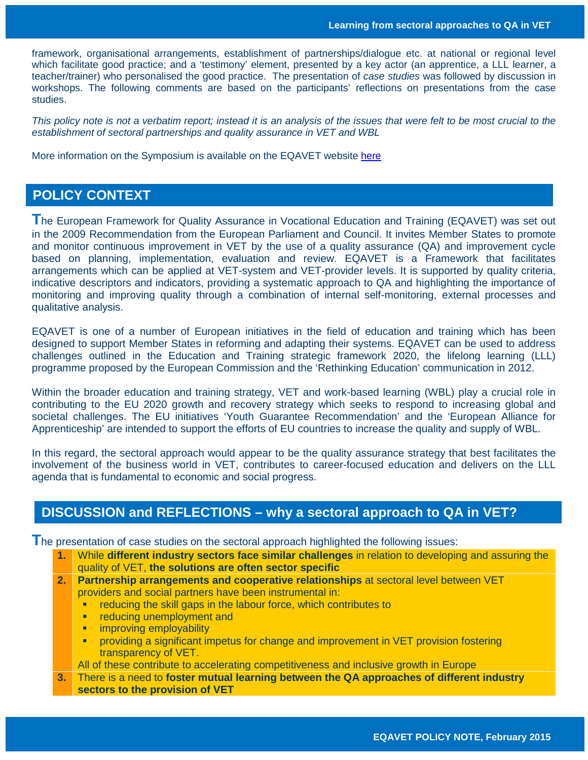framework, organisational arrangements, establishment of partnerships/dialogue etc. at national or regional level which facilitate good practice; and a 'testimony' element, presented by a key actor (an apprentice, a LLL learner, a teacher/trainer) who personalised the good practice. The presentation of *case studies* was followed by discussion in workshops. The following comments are based on the participants' reflections on presentations from the case studies.

*This policy note is not a verbatim report; instead it is an analysis of the issues that were felt to be most crucial to the establishment of sectoral partnerships and quality assurance in VET and WBL*

More information on the Symposium is available on the EQAVET website [here](http://www.eqavet.eu/gns/what-we-do/Symposium.aspx)

## **POLICY CONTEXT**

**T**he European Framework for Quality Assurance in Vocational Education and Training (EQAVET) was set out in the 2009 Recommendation from the European Parliament and Council. It invites Member States to promote and monitor continuous improvement in VET by the use of a quality assurance (QA) and improvement cycle based on planning, implementation, evaluation and review. EQAVET is a Framework that facilitates arrangements which can be applied at VET-system and VET-provider levels. It is supported by quality criteria, indicative descriptors and indicators, providing a systematic approach to QA and highlighting the importance of monitoring and improving quality through a combination of internal self-monitoring, external processes and qualitative analysis.

EQAVET is one of a number of European initiatives in the field of education and training which has been designed to support Member States in reforming and adapting their systems. EQAVET can be used to address challenges outlined in the Education and Training strategic framework 2020, the lifelong learning (LLL) programme proposed by the European Commission and the 'Rethinking Education' communication in 2012.

Within the broader education and training strategy, VET and work-based learning (WBL) play a crucial role in contributing to the EU 2020 growth and recovery strategy which seeks to respond to increasing global and societal challenges. The EU initiatives 'Youth Guarantee Recommendation' and the 'European Alliance for Apprenticeship' are intended to support the efforts of EU countries to increase the quality and supply of WBL.

In this regard, the sectoral approach would appear to be the quality assurance strategy that best facilitates the involvement of the business world in VET, contributes to career-focused education and delivers on the LLL agenda that is fundamental to economic and social progress.

## **DISCUSSION and REFLECTIONS – why a sectoral approach to QA in VET?**

**T** he presentation of case studies on the sectoral approach highlighted the following issues:

- **1.** While **different industry sectors face similar challenges** in relation to developing and assuring the quality of VET, **the solutions are often sector specific**
- **2. Partnership arrangements and cooperative relationships** at sectoral level between VET providers and social partners have been instrumental in:
	- **F** reducing the skill gaps in the labour force, which contributes to
	- reducing unemployment and
	- **EXECUTE:** improving employability
	- providing a significant impetus for change and improvement in VET provision fostering transparency of VET.
	- All of these contribute to accelerating competitiveness and inclusive growth in Europe
- **3.** There is a need to **foster mutual learning between the QA approaches of different industry sectors to the provision of VET**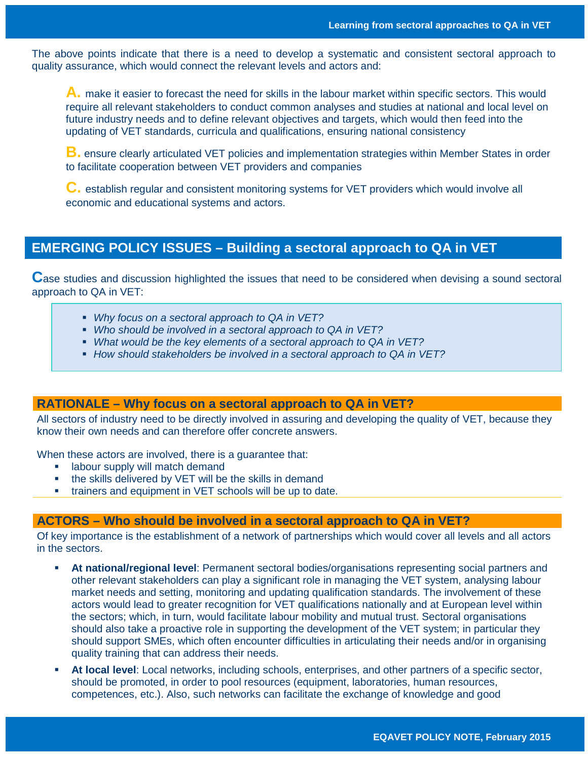The above points indicate that there is a need to develop a systematic and consistent sectoral approach to quality assurance, which would connect the relevant levels and actors and:

**A.** make it easier to forecast the need for skills in the labour market within specific sectors. This would require all relevant stakeholders to conduct common analyses and studies at national and local level on future industry needs and to define relevant objectives and targets, which would then feed into the updating of VET standards, curricula and qualifications, ensuring national consistency

**B.** ensure clearly articulated VET policies and implementation strategies within Member States in order to facilitate cooperation between VET providers and companies

**C.** establish regular and consistent monitoring systems for VET providers which would involve all economic and educational systems and actors.

## **EMERGING POLICY ISSUES – Building a sectoral approach to QA in VET**

**C**ase studies and discussion highlighted the issues that need to be considered when devising a sound sectoral approach to QA in VET:

- *Why focus on a sectoral approach to QA in VET?*
- *Who should be involved in a sectoral approach to QA in VET?*
- *What would be the key elements of a sectoral approach to QA in VET?*
- *How should stakeholders be involved in a sectoral approach to QA in VET?*

### **RATIONALE – Why focus on a sectoral approach to QA in VET?**

All sectors of industry need to be directly involved in assuring and developing the quality of VET, because they know their own needs and can therefore offer concrete answers.

When these actors are involved, there is a guarantee that:

- **Example 1** labour supply will match demand
- the skills delivered by VET will be the skills in demand
- **\*** trainers and equipment in VET schools will be up to date.

### **ACTORS – Who should be involved in a sectoral approach to QA in VET?**

Of key importance is the establishment of a network of partnerships which would cover all levels and all actors in the sectors.

- **At national/regional level**: Permanent sectoral bodies/organisations representing social partners and other relevant stakeholders can play a significant role in managing the VET system, analysing labour market needs and setting, monitoring and updating qualification standards. The involvement of these actors would lead to greater recognition for VET qualifications nationally and at European level within the sectors; which, in turn, would facilitate labour mobility and mutual trust. Sectoral organisations should also take a proactive role in supporting the development of the VET system; in particular they should support SMEs, which often encounter difficulties in articulating their needs and/or in organising quality training that can address their needs.
- **At local level**: Local networks, including schools, enterprises, and other partners of a specific sector, should be promoted, in order to pool resources (equipment, laboratories, human resources, competences, etc.). Also, such networks can facilitate the exchange of knowledge and good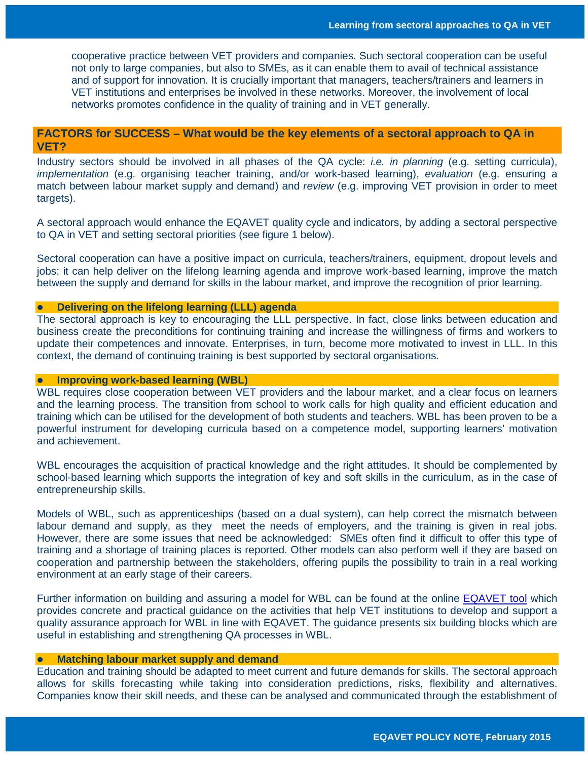cooperative practice between VET providers and companies. Such sectoral cooperation can be useful not only to large companies, but also to SMEs, as it can enable them to avail of technical assistance and of support for innovation. It is crucially important that managers, teachers/trainers and learners in VET institutions and enterprises be involved in these networks. Moreover, the involvement of local networks promotes confidence in the quality of training and in VET generally.

## **FACTORS for SUCCESS – What would be the key elements of a sectoral approach to QA in VET?**

Industry sectors should be involved in all phases of the QA cycle: *i.e. in planning* (e.g. setting curricula), *implementation* (e.g. organising teacher training, and/or work-based learning), *evaluation* (e.g. ensuring a match between labour market supply and demand) and *review* (e.g. improving VET provision in order to meet targets).

A sectoral approach would enhance the EQAVET quality cycle and indicators, by adding a sectoral perspective to QA in VET and setting sectoral priorities (see figure 1 below).

Sectoral cooperation can have a positive impact on curricula, teachers/trainers, equipment, dropout levels and jobs; it can help deliver on the lifelong learning agenda and improve work-based learning, improve the match between the supply and demand for skills in the labour market, and improve the recognition of prior learning.

#### **Delivering on the lifelong learning (LLL) agenda**

The sectoral approach is key to encouraging the LLL perspective. In fact, close links between education and business create the preconditions for continuing training and increase the willingness of firms and workers to update their competences and innovate. Enterprises, in turn, become more motivated to invest in LLL. In this context, the demand of continuing training is best supported by sectoral organisations.

#### **Improving work-based learning (WBL)**

WBL requires close cooperation between VET providers and the labour market, and a clear focus on learners and the learning process. The transition from school to work calls for high quality and efficient education and training which can be utilised for the development of both students and teachers. WBL has been proven to be a powerful instrument for developing curricula based on a competence model, supporting learners' motivation and achievement.

WBL encourages the acquisition of practical knowledge and the right attitudes. It should be complemented by school-based learning which supports the integration of key and soft skills in the curriculum, as in the case of entrepreneurship skills.

Models of WBL, such as apprenticeships (based on a dual system), can help correct the mismatch between labour demand and supply, as they meet the needs of employers, and the training is given in real jobs. However, there are some issues that need be acknowledged: SMEs often find it difficult to offer this type of training and a shortage of training places is reported. Other models can also perform well if they are based on cooperation and partnership between the stakeholders, offering pupils the possibility to train in a real working environment at an early stage of their careers.

Further information on building and assuring a model for WBL can be found at the online [EQAVET tool](http://www.eqavet.eu/workbasedlearning/GNS/Home.aspx) which provides concrete and practical guidance on the activities that help VET institutions to develop and support a quality assurance approach for WBL in line with EQAVET. The guidance presents six building blocks which are useful in establishing and strengthening QA processes in WBL.

### **Matching labour market supply and demand**

Education and training should be adapted to meet current and future demands for skills. The sectoral approach allows for skills forecasting while taking into consideration predictions, risks, flexibility and alternatives. Companies know their skill needs, and these can be analysed and communicated through the establishment of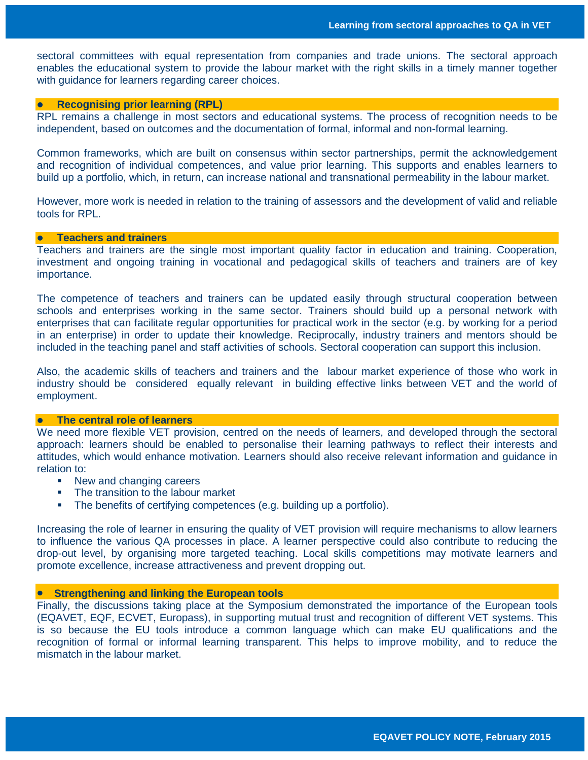sectoral committees with equal representation from companies and trade unions. The sectoral approach enables the educational system to provide the labour market with the right skills in a timely manner together with guidance for learners regarding career choices.

#### **Recognising prior learning (RPL)**

RPL remains a challenge in most sectors and educational systems. The process of recognition needs to be independent, based on outcomes and the documentation of formal, informal and non-formal learning.

Common frameworks, which are built on consensus within sector partnerships, permit the acknowledgement and recognition of individual competences, and value prior learning. This supports and enables learners to build up a portfolio, which, in return, can increase national and transnational permeability in the labour market.

However, more work is needed in relation to the training of assessors and the development of valid and reliable tools for RPL.

#### **Teachers and trainers**

Teachers and trainers are the single most important quality factor in education and training. Cooperation, investment and ongoing training in vocational and pedagogical skills of teachers and trainers are of key importance.

The competence of teachers and trainers can be updated easily through structural cooperation between schools and enterprises working in the same sector. Trainers should build up a personal network with enterprises that can facilitate regular opportunities for practical work in the sector (e.g. by working for a period in an enterprise) in order to update their knowledge. Reciprocally, industry trainers and mentors should be included in the teaching panel and staff activities of schools. Sectoral cooperation can support this inclusion.

Also, the academic skills of teachers and trainers and the labour market experience of those who work in industry should be considered equally relevant in building effective links between VET and the world of employment.

#### **The central role of learners**

We need more flexible VET provision, centred on the needs of learners, and developed through the sectoral approach: learners should be enabled to personalise their learning pathways to reflect their interests and attitudes, which would enhance motivation. Learners should also receive relevant information and guidance in relation to:

- New and changing careers
- The transition to the labour market
- **The benefits of certifying competences (e.g. building up a portfolio).**

Increasing the role of learner in ensuring the quality of VET provision will require mechanisms to allow learners to influence the various QA processes in place. A learner perspective could also contribute to reducing the drop-out level, by organising more targeted teaching. Local skills competitions may motivate learners and promote excellence, increase attractiveness and prevent dropping out.

#### • **Strengthening and linking the European tools**

Finally, the discussions taking place at the Symposium demonstrated the importance of the European tools (EQAVET, EQF, ECVET, Europass), in supporting mutual trust and recognition of different VET systems. This is so because the EU tools introduce a common language which can make EU qualifications and the recognition of formal or informal learning transparent. This helps to improve mobility, and to reduce the mismatch in the labour market.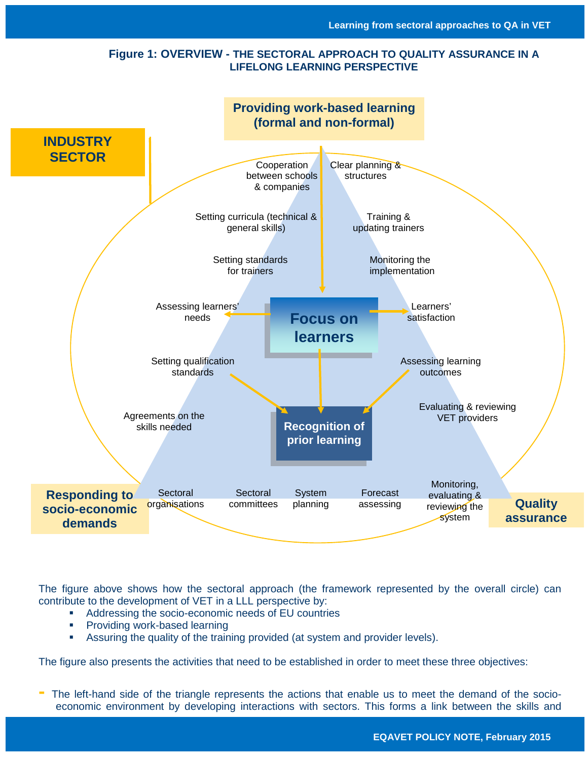## **Figure 1: OVERVIEW - THE SECTORAL APPROACH TO QUALITY ASSURANCE IN A LIFELONG LEARNING PERSPECTIVE**



The figure above shows how the sectoral approach (the framework represented by the overall circle) can contribute to the development of VET in a LLL perspective by:

- Addressing the socio-economic needs of EU countries
- **Providing work-based learning**
- Assuring the quality of the training provided (at system and provider levels).

The figure also presents the activities that need to be established in order to meet these three objectives:

**-** The left-hand side of the triangle represents the actions that enable us to meet the demand of the socioeconomic environment by developing interactions with sectors. This forms a link between the skills and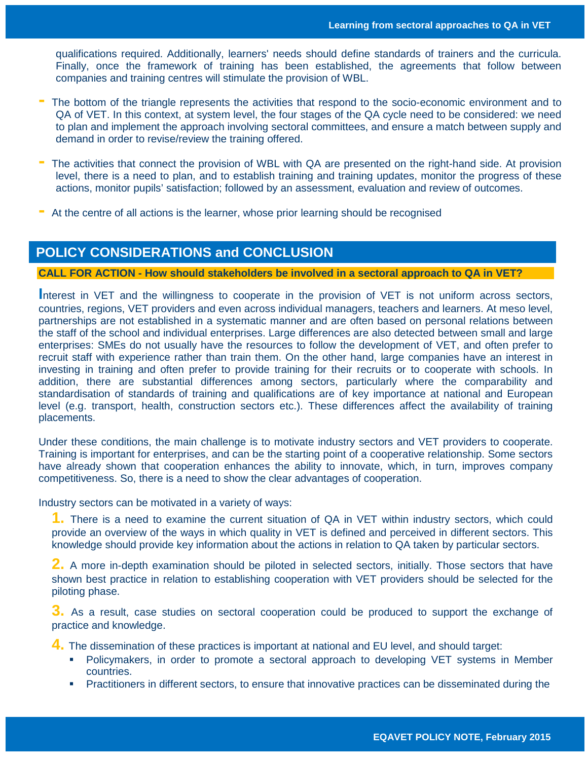qualifications required. Additionally, learners' needs should define standards of trainers and the curricula. Finally, once the framework of training has been established, the agreements that follow between companies and training centres will stimulate the provision of WBL.

- **-** The bottom of the triangle represents the activities that respond to the socio-economic environment and to QA of VET. In this context, at system level, the four stages of the QA cycle need to be considered: we need to plan and implement the approach involving sectoral committees, and ensure a match between supply and demand in order to revise/review the training offered.
- **-** The activities that connect the provision of WBL with QA are presented on the right-hand side. At provision level, there is a need to plan, and to establish training and training updates, monitor the progress of these actions, monitor pupils' satisfaction; followed by an assessment, evaluation and review of outcomes.
- **-** At the centre of all actions is the learner, whose prior learning should be recognised

## **POLICY CONSIDERATIONS and CONCLUSION**

## **CALL FOR ACTION - How should stakeholders be involved in a sectoral approach to QA in VET?**

Interest in VET and the willingness to cooperate in the provision of VET is not uniform across sectors, countries, regions, VET providers and even across individual managers, teachers and learners. At meso level, partnerships are not established in a systematic manner and are often based on personal relations between the staff of the school and individual enterprises. Large differences are also detected between small and large enterprises: SMEs do not usually have the resources to follow the development of VET, and often prefer to recruit staff with experience rather than train them. On the other hand, large companies have an interest in investing in training and often prefer to provide training for their recruits or to cooperate with schools. In addition, there are substantial differences among sectors, particularly where the comparability and standardisation of standards of training and qualifications are of key importance at national and European level (e.g. transport, health, construction sectors etc.). These differences affect the availability of training placements.

Under these conditions, the main challenge is to motivate industry sectors and VET providers to cooperate. Training is important for enterprises, and can be the starting point of a cooperative relationship. Some sectors have already shown that cooperation enhances the ability to innovate, which, in turn, improves company competitiveness. So, there is a need to show the clear advantages of cooperation.

Industry sectors can be motivated in a variety of ways:

**1.** There is a need to examine the current situation of QA in VET within industry sectors, which could provide an overview of the ways in which quality in VET is defined and perceived in different sectors. This knowledge should provide key information about the actions in relation to QA taken by particular sectors.

**2.** A more in-depth examination should be piloted in selected sectors, initially. Those sectors that have shown best practice in relation to establishing cooperation with VET providers should be selected for the piloting phase.

**3.** As a result, case studies on sectoral cooperation could be produced to support the exchange of practice and knowledge.

**4.** The dissemination of these practices is important at national and EU level, and should target:

- Policymakers, in order to promote a sectoral approach to developing VET systems in Member countries.
- Practitioners in different sectors, to ensure that innovative practices can be disseminated during the